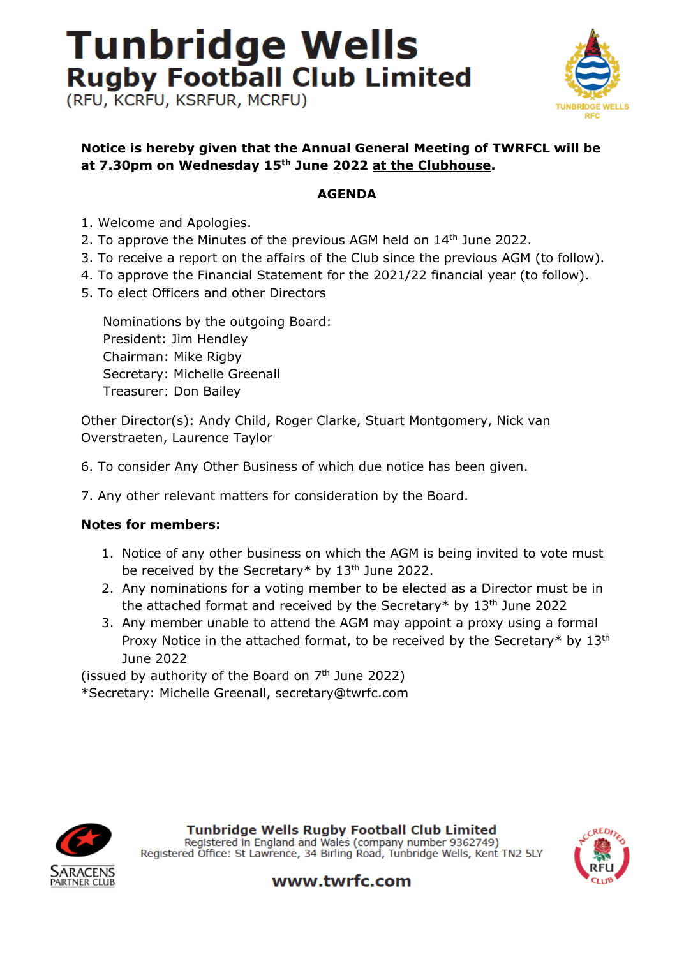# Tunbridge Wells **Rugby Football Club Limited** (RFU, KCRFU, KSRFUR, MCRFU)

**TUNBRIDGE WELLS RFC** 

## **Notice is hereby given that the Annual General Meeting of TWRFCL will be at 7.30pm on Wednesday 15th June 2022 at the Clubhouse.**

# **AGENDA**

- 1. Welcome and Apologies.
- 2. To approve the Minutes of the previous AGM held on 14<sup>th</sup> June 2022.
- 3. To receive a report on the affairs of the Club since the previous AGM (to follow).
- 4. To approve the Financial Statement for the 2021/22 financial year (to follow).
- 5. To elect Officers and other Directors

 Nominations by the outgoing Board: President: Jim Hendley Chairman: Mike Rigby Secretary: Michelle Greenall Treasurer: Don Bailey

Other Director(s): Andy Child, Roger Clarke, Stuart Montgomery, Nick van Overstraeten, Laurence Taylor

- 6. To consider Any Other Business of which due notice has been given.
- 7. Any other relevant matters for consideration by the Board.

#### **Notes for members:**

- 1. Notice of any other business on which the AGM is being invited to vote must be received by the Secretary\* by  $13<sup>th</sup>$  June 2022.
- 2. Any nominations for a voting member to be elected as a Director must be in the attached format and received by the Secretary\* by  $13<sup>th</sup>$  June 2022
- 3. Any member unable to attend the AGM may appoint a proxy using a formal Proxy Notice in the attached format, to be received by the Secretary\* by  $13<sup>th</sup>$ June 2022

(issued by authority of the Board on  $7<sup>th</sup>$  June 2022) \*Secretary: Michelle Greenall, secretary@twrfc.com